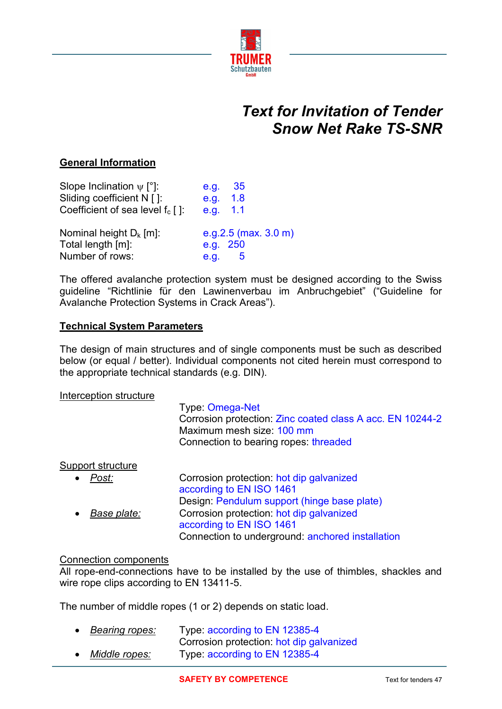

# *Text for Invitation of Tender Snow Net Rake TS-SNR*

# **General Information**

| Slope Inclination $\psi$ [°]:       | -35<br>e.g.                     |
|-------------------------------------|---------------------------------|
| Sliding coefficient N []:           | e.g.<br>1.8                     |
| Coefficient of sea level $f_c$ [ ]: | e.g. 1.1                        |
| Nominal height $D_k$ [m]:           | e.g.2.5 (max. $3.0 \text{ m}$ ) |
| Total length [m]:                   | e.g. 250                        |
| Number of rows:                     | e.g.<br>b                       |

The offered avalanche protection system must be designed according to the Swiss guideline "Richtlinie für den Lawinenverbau im Anbruchgebiet" ("Guideline for Avalanche Protection Systems in Crack Areas").

#### **Technical System Parameters**

The design of main structures and of single components must be such as described below (or equal / better). Individual components not cited herein must correspond to the appropriate technical standards (e.g. DIN).

#### Interception structure

#### Type: Omega-Net

Corrosion protection: Zinc coated class A acc. EN 10244-2 Maximum mesh size: 100 mm Connection to bearing ropes: threaded

#### Support structure

| Post:       | Corrosion protection: hot dip galvanized         |
|-------------|--------------------------------------------------|
|             | according to EN ISO 1461                         |
|             | Design: Pendulum support (hinge base plate)      |
| Base plate: | Corrosion protection: hot dip galvanized         |
|             | according to EN ISO 1461                         |
|             | Connection to underground: anchored installation |

#### Connection components

All rope-end-connections have to be installed by the use of thimbles, shackles and wire rope clips according to EN 13411-5.

The number of middle ropes (1 or 2) depends on static load.

| $\bullet$ | Bearing ropes: | Type: according to EN 12385-4            |
|-----------|----------------|------------------------------------------|
|           |                | Corrosion protection: hot dip galvanized |
| $\bullet$ | Middle ropes:  | Type: according to EN 12385-4            |